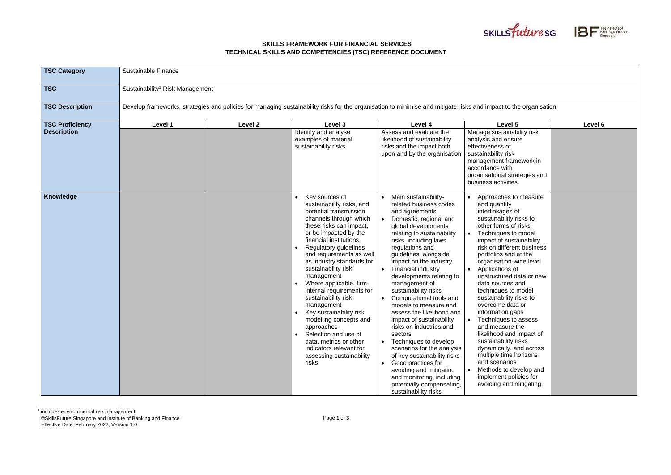## **SKILLS FRAMEWORK FOR FINANCIAL SERVICES TECHNICAL SKILLS AND COMPETENCIES (TSC) REFERENCE DOCUMENT**





| <b>TSC Category</b>                          | Sustainable Finance                         |         |                                                                                                                                                                                                                                                                                                                                                                                                                                                                                                                                                                                                            |                                                                                                                                                                                                                                                                                                                                                                                                                                                                                                                                                                                                                                                                                                                        |                                                                                                                                                                                                                                                                                                                                                                                                                                                                                                                                                                                                                                                                     |         |  |  |
|----------------------------------------------|---------------------------------------------|---------|------------------------------------------------------------------------------------------------------------------------------------------------------------------------------------------------------------------------------------------------------------------------------------------------------------------------------------------------------------------------------------------------------------------------------------------------------------------------------------------------------------------------------------------------------------------------------------------------------------|------------------------------------------------------------------------------------------------------------------------------------------------------------------------------------------------------------------------------------------------------------------------------------------------------------------------------------------------------------------------------------------------------------------------------------------------------------------------------------------------------------------------------------------------------------------------------------------------------------------------------------------------------------------------------------------------------------------------|---------------------------------------------------------------------------------------------------------------------------------------------------------------------------------------------------------------------------------------------------------------------------------------------------------------------------------------------------------------------------------------------------------------------------------------------------------------------------------------------------------------------------------------------------------------------------------------------------------------------------------------------------------------------|---------|--|--|
| <b>TSC</b>                                   | Sustainability <sup>1</sup> Risk Management |         |                                                                                                                                                                                                                                                                                                                                                                                                                                                                                                                                                                                                            |                                                                                                                                                                                                                                                                                                                                                                                                                                                                                                                                                                                                                                                                                                                        |                                                                                                                                                                                                                                                                                                                                                                                                                                                                                                                                                                                                                                                                     |         |  |  |
| <b>TSC Description</b>                       |                                             |         | Develop frameworks, strategies and policies for managing sustainability risks for the organisation to minimise and mitigate risks and impact to the organisation                                                                                                                                                                                                                                                                                                                                                                                                                                           |                                                                                                                                                                                                                                                                                                                                                                                                                                                                                                                                                                                                                                                                                                                        |                                                                                                                                                                                                                                                                                                                                                                                                                                                                                                                                                                                                                                                                     |         |  |  |
| <b>TSC Proficiency</b><br><b>Description</b> | Level 1                                     | Level 2 | Level 3<br>Identify and analyse<br>examples of material<br>sustainability risks                                                                                                                                                                                                                                                                                                                                                                                                                                                                                                                            | Level 4<br>Assess and evaluate the<br>likelihood of sustainability<br>risks and the impact both<br>upon and by the organisation                                                                                                                                                                                                                                                                                                                                                                                                                                                                                                                                                                                        | Level 5<br>Manage sustainability risk<br>analysis and ensure<br>effectiveness of<br>sustainability risk<br>management framework in<br>accordance with<br>organisational strategies and<br>business activities.                                                                                                                                                                                                                                                                                                                                                                                                                                                      | Level 6 |  |  |
| Knowledge                                    |                                             |         | Key sources of<br>sustainability risks, and<br>potential transmission<br>channels through which<br>these risks can impact,<br>or be impacted by the<br>financial institutions<br><b>Regulatory guidelines</b><br>and requirements as well<br>as industry standards for<br>sustainability risk<br>management<br>Where applicable, firm-<br>internal requirements for<br>sustainability risk<br>management<br>Key sustainability risk<br>modelling concepts and<br>approaches<br>Selection and use of<br>$\bullet$<br>data, metrics or other<br>indicators relevant for<br>assessing sustainability<br>risks | Main sustainability-<br>related business codes<br>and agreements<br>Domestic, regional and<br>global developments<br>relating to sustainability<br>risks, including laws,<br>regulations and<br>guidelines, alongside<br>impact on the industry<br>Financial industry<br>developments relating to<br>management of<br>sustainability risks<br>Computational tools and<br>models to measure and<br>assess the likelihood and<br>impact of sustainability<br>risks on industries and<br>sectors<br>Techniques to develop<br>scenarios for the analysis<br>of key sustainability risks<br>Good practices for<br>avoiding and mitigating<br>and monitoring, including<br>potentially compensating,<br>sustainability risks | Approaches to measure<br>and quantify<br>interlinkages of<br>sustainability risks to<br>other forms of risks<br>Techniques to model<br>impact of sustainability<br>risk on different business<br>portfolios and at the<br>organisation-wide level<br>Applications of<br>unstructured data or new<br>data sources and<br>techniques to model<br>sustainability risks to<br>overcome data or<br>information gaps<br>Techniques to assess<br>and measure the<br>likelihood and impact of<br>sustainability risks<br>dynamically, and across<br>multiple time horizons<br>and scenarios<br>Methods to develop and<br>implement policies for<br>avoiding and mitigating, |         |  |  |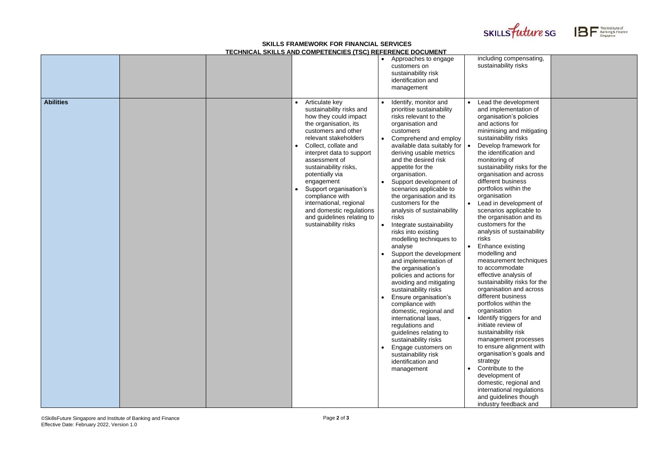## **SKILLS FRAMEWORK FOR FINANCIAL SERVICES TECHNICAL SKILLS AND COMPETENCIES (TSC) REFERENCE DOCUMENT**

| including compensating,<br>sustainability risks                                                                                                                                                                                                                                                                                                                                                                                                            |  |
|------------------------------------------------------------------------------------------------------------------------------------------------------------------------------------------------------------------------------------------------------------------------------------------------------------------------------------------------------------------------------------------------------------------------------------------------------------|--|
| Lead the development                                                                                                                                                                                                                                                                                                                                                                                                                                       |  |
| and implementation of<br>organisation's policies<br>and actions for<br>minimising and mitigating<br>sustainability risks<br>Develop framework for<br>the identification and<br>monitoring of<br>sustainability risks for the<br>organisation and across<br>different business<br>portfolios within the<br>organisation<br>Lead in development of<br>scenarios applicable to<br>the organisation and its<br>customers for the<br>analysis of sustainability |  |
| risks<br>Enhance existing                                                                                                                                                                                                                                                                                                                                                                                                                                  |  |
| modelling and<br>measurement techniques<br>to accommodate<br>effective analysis of<br>sustainability risks for the<br>organisation and across<br>different business<br>portfolios within the<br>organisation                                                                                                                                                                                                                                               |  |
| Identify triggers for and<br>initiate review of<br>sustainability risk<br>management processes<br>to ensure alignment with<br>organisation's goals and                                                                                                                                                                                                                                                                                                     |  |
| strategy<br>Contribute to the<br>development of<br>domestic, regional and<br>international regulations<br>and guidelines though<br>industry feedback and                                                                                                                                                                                                                                                                                                   |  |





|                  |  | LOI INTOAL ONILLO AND OOMI LI LINOILO (TOO) NLI LINLINOL DOOOMLIN                                                                                                                                                                                                                                                                                                                                                                      |                                                                                                                                                                                                                                                                                                                                                                                                                                                                                                                                                                                                                                                                                                                                                                                                                                                                                                                 |                                                                                                                                                                                                                                                                                                                                                                                                                                                                                                                                                                                                                                                                                                                                                                                                                                                                                                                                                                                                                                                   |
|------------------|--|----------------------------------------------------------------------------------------------------------------------------------------------------------------------------------------------------------------------------------------------------------------------------------------------------------------------------------------------------------------------------------------------------------------------------------------|-----------------------------------------------------------------------------------------------------------------------------------------------------------------------------------------------------------------------------------------------------------------------------------------------------------------------------------------------------------------------------------------------------------------------------------------------------------------------------------------------------------------------------------------------------------------------------------------------------------------------------------------------------------------------------------------------------------------------------------------------------------------------------------------------------------------------------------------------------------------------------------------------------------------|---------------------------------------------------------------------------------------------------------------------------------------------------------------------------------------------------------------------------------------------------------------------------------------------------------------------------------------------------------------------------------------------------------------------------------------------------------------------------------------------------------------------------------------------------------------------------------------------------------------------------------------------------------------------------------------------------------------------------------------------------------------------------------------------------------------------------------------------------------------------------------------------------------------------------------------------------------------------------------------------------------------------------------------------------|
|                  |  |                                                                                                                                                                                                                                                                                                                                                                                                                                        | Approaches to engage<br>customers on<br>sustainability risk<br>identification and<br>management                                                                                                                                                                                                                                                                                                                                                                                                                                                                                                                                                                                                                                                                                                                                                                                                                 | including compensating.<br>sustainability risks                                                                                                                                                                                                                                                                                                                                                                                                                                                                                                                                                                                                                                                                                                                                                                                                                                                                                                                                                                                                   |
| <b>Abilities</b> |  | Articulate key<br>sustainability risks and<br>how they could impact<br>the organisation, its<br>customers and other<br>relevant stakeholders<br>Collect, collate and<br>interpret data to support<br>assessment of<br>sustainability risks,<br>potentially via<br>engagement<br>Support organisation's<br>compliance with<br>international, regional<br>and domestic regulations<br>and guidelines relating to<br>sustainability risks | Identify, monitor and<br>prioritise sustainability<br>risks relevant to the<br>organisation and<br>customers<br>Comprehend and employ<br>available data suitably for<br>deriving usable metrics<br>and the desired risk<br>appetite for the<br>organisation.<br>Support development of<br>scenarios applicable to<br>the organisation and its<br>customers for the<br>analysis of sustainability<br>risks<br>Integrate sustainability<br>risks into existing<br>modelling techniques to<br>analyse<br>Support the development<br>and implementation of<br>the organisation's<br>policies and actions for<br>avoiding and mitigating<br>sustainability risks<br>Ensure organisation's<br>compliance with<br>domestic, regional and<br>international laws,<br>regulations and<br>guidelines relating to<br>sustainability risks<br>Engage customers on<br>sustainability risk<br>identification and<br>management | Lead the development<br>and implementation of<br>organisation's policies<br>and actions for<br>minimising and mitigatin<br>sustainability risks<br>Develop framework for<br>the identification and<br>monitoring of<br>sustainability risks for th<br>organisation and across<br>different business<br>portfolios within the<br>organisation<br>Lead in development of<br>scenarios applicable to<br>the organisation and its<br>customers for the<br>analysis of sustainability<br>risks<br>Enhance existing<br>modelling and<br>measurement technique<br>to accommodate<br>effective analysis of<br>sustainability risks for th<br>organisation and across<br>different business<br>portfolios within the<br>organisation<br>Identify triggers for and<br>initiate review of<br>sustainability risk<br>management processes<br>to ensure alignment with<br>organisation's goals and<br>strategy<br>Contribute to the<br>development of<br>domestic, regional and<br>international regulations<br>and guidelines though<br>industry feedback and |